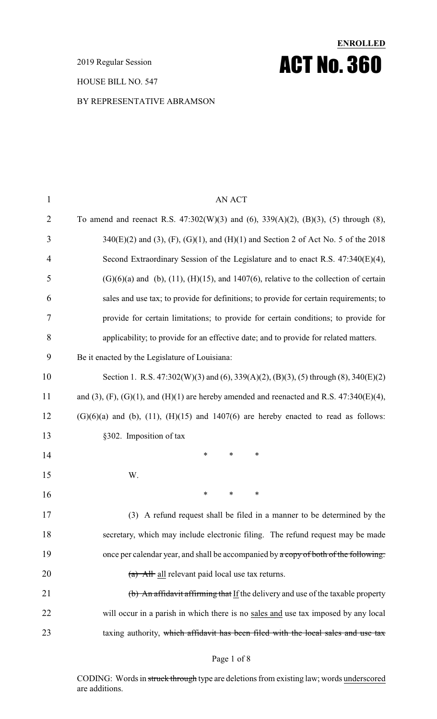2019 Regular Session

HOUSE BILL NO. 547

#### BY REPRESENTATIVE ABRAMSON

| $\mathbf{1}$   | <b>AN ACT</b>                                                                                       |
|----------------|-----------------------------------------------------------------------------------------------------|
| $\overline{2}$ | To amend and reenact R.S. $47:302(W)(3)$ and $(6)$ , $339(A)(2)$ , $(B)(3)$ , $(5)$ through $(8)$ , |
| 3              | $340(E)(2)$ and (3), (F), (G)(1), and (H)(1) and Section 2 of Act No. 5 of the 2018                 |
| 4              | Second Extraordinary Session of the Legislature and to enact R.S. 47:340(E)(4),                     |
| 5              | $(G)(6)(a)$ and (b), (11), (H)(15), and 1407(6), relative to the collection of certain              |
| 6              | sales and use tax; to provide for definitions; to provide for certain requirements; to              |
| 7              | provide for certain limitations; to provide for certain conditions; to provide for                  |
| 8              | applicability; to provide for an effective date; and to provide for related matters.                |
| 9              | Be it enacted by the Legislature of Louisiana:                                                      |
| 10             | Section 1. R.S. $47:302(W)(3)$ and $(6), 339(A)(2), (B)(3), (5)$ through $(8), 340(E)(2)$           |
| 11             | and (3), (F), (G)(1), and (H)(1) are hereby amended and reenacted and R.S. $47:340(E)(4)$ ,         |
| 12             | $(G)(6)(a)$ and (b), (11), (H)(15) and 1407(6) are hereby enacted to read as follows:               |
| 13             | §302. Imposition of tax                                                                             |
| 14             | $\ast$<br>$\ast$<br>∗                                                                               |
| 15             | W.                                                                                                  |
| 16             | ∗<br>∗<br>∗                                                                                         |
| 17             | (3) A refund request shall be filed in a manner to be determined by the                             |
| 18             | secretary, which may include electronic filing. The refund request may be made                      |
| 19             | once per calendar year, and shall be accompanied by a copy of both of the following:                |
| 20             | $(a)$ All all relevant paid local use tax returns.                                                  |
| 21             | (b) An affidavit affirming that If the delivery and use of the taxable property                     |
| 22             | will occur in a parish in which there is no sales and use tax imposed by any local                  |
| 23             | taxing authority, which affidavit has been filed with the local sales and use tax                   |

**ENROLLED**

ACT No. 360

#### Page 1 of 8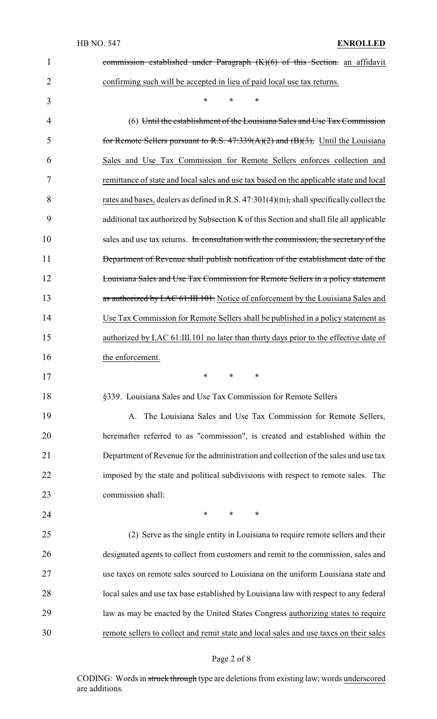| $\mathbf{1}$   | commission established under Paragraph $(K)(6)$ of this Section. an affidavit            |
|----------------|------------------------------------------------------------------------------------------|
| $\overline{2}$ | confirming such will be accepted in lieu of paid local use tax returns.                  |
| 3              | *<br>*<br>*                                                                              |
| 4              | (6) Until the establishment of the Louisiana Sales and Use Tax Commission                |
| 5              | for Remote Sellers pursuant to R.S. $47:339(A)(2)$ and $(B)(3)$ , Until the Louisiana    |
| 6              | Sales and Use Tax Commission for Remote Sellers enforces collection and                  |
| 7              | remittance of state and local sales and use tax based on the applicable state and local  |
| 8              | rates and bases, dealers as defined in R.S. 47:301(4)(m); shall specifically collect the |
| 9              | additional tax authorized by Subsection K of this Section and shall file all applicable  |
| 10             | sales and use tax returns. In consultation with the commission, the secretary of the     |
| 11             | Department of Revenue shall publish notification of the establishment date of the        |
| 12             | Louisiana Sales and Use Tax Commission for Remote Sellers in a policy statement          |
| 13             | as authorized by LAC 61:III.101. Notice of enforcement by the Louisiana Sales and        |
| 14             | Use Tax Commission for Remote Sellers shall be published in a policy statement as        |
| 15             | authorized by LAC 61:III.101 no later than thirty days prior to the effective date of    |
|                |                                                                                          |
| 16             | the enforcement.                                                                         |
| 17             |                                                                                          |
| 18             | §339. Louisiana Sales and Use Tax Commission for Remote Sellers                          |
| 19             | The Louisiana Sales and Use Tax Commission for Remote Sellers,<br>A.                     |
| 20             | hereinafter referred to as "commission", is created and established within the           |
| 21             | Department of Revenue for the administration and collection of the sales and use tax     |
| 22             | imposed by the state and political subdivisions with respect to remote sales. The        |
| 23             | commission shall:                                                                        |
| 24             | ∗<br>$\ast$<br>∗                                                                         |
| 25             | (2) Serve as the single entity in Louisiana to require remote sellers and their          |
| 26             | designated agents to collect from customers and remit to the commission, sales and       |
| 27             | use taxes on remote sales sourced to Louisiana on the uniform Louisiana state and        |
| 28             | local sales and use tax base established by Louisiana law with respect to any federal    |
| 29             | law as may be enacted by the United States Congress authorizing states to require        |

# Page 2 of 8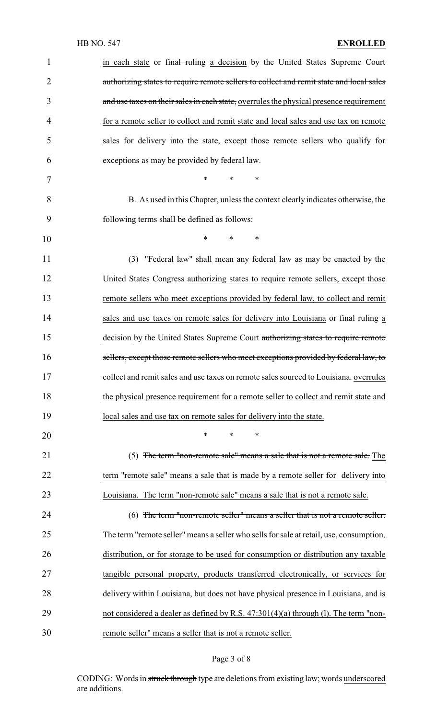| $\mathbf{1}$   | in each state or final ruling a decision by the United States Supreme Court             |
|----------------|-----------------------------------------------------------------------------------------|
| $\overline{2}$ | authorizing states to require remote sellers to collect and remit state and local sales |
| 3              | and use taxes on their sales in each state, overrules the physical presence requirement |
|                |                                                                                         |
| 4              | for a remote seller to collect and remit state and local sales and use tax on remote    |
| 5              | sales for delivery into the state, except those remote sellers who qualify for          |
| 6              | exceptions as may be provided by federal law.                                           |
| 7              | $\ast$<br>$\ast$<br>$\ast$                                                              |
| 8              | B. As used in this Chapter, unless the context clearly indicates otherwise, the         |
| 9              | following terms shall be defined as follows:                                            |
| 10             | $*$ and $*$<br>$\ast$<br>∗                                                              |
| 11             | (3) "Federal law" shall mean any federal law as may be enacted by the                   |
| 12             | United States Congress authorizing states to require remote sellers, except those       |
| 13             | remote sellers who meet exceptions provided by federal law, to collect and remit        |
| 14             | sales and use taxes on remote sales for delivery into Louisiana or final ruling a       |
| 15             | decision by the United States Supreme Court authorizing states to require remote        |
| 16             | sellers, except those remote sellers who meet exceptions provided by federal law, to    |
| 17             | collect and remit sales and use taxes on remote sales sourced to Louisiana. overrules   |
| 18             | the physical presence requirement for a remote seller to collect and remit state and    |
| 19             | local sales and use tax on remote sales for delivery into the state.                    |
| 20             | *<br>$\ast$<br>∗                                                                        |
| 21             | (5) The term "non-remote sale" means a sale that is not a remote sale. The              |
| 22             | term "remote sale" means a sale that is made by a remote seller for delivery into       |
| 23             | Louisiana. The term "non-remote sale" means a sale that is not a remote sale.           |
| 24             | (6) The term "non-remote seller" means a seller that is not a remote seller.            |
| 25             | The term "remote seller" means a seller who sells for sale at retail, use, consumption, |
| 26             | distribution, or for storage to be used for consumption or distribution any taxable     |
| 27             | tangible personal property, products transferred electronically, or services for        |
| 28             | delivery within Louisiana, but does not have physical presence in Louisiana, and is     |
| 29             | not considered a dealer as defined by R.S. $47:301(4)(a)$ through (1). The term "non-   |
| 30             | remote seller" means a seller that is not a remote seller.                              |

# Page 3 of 8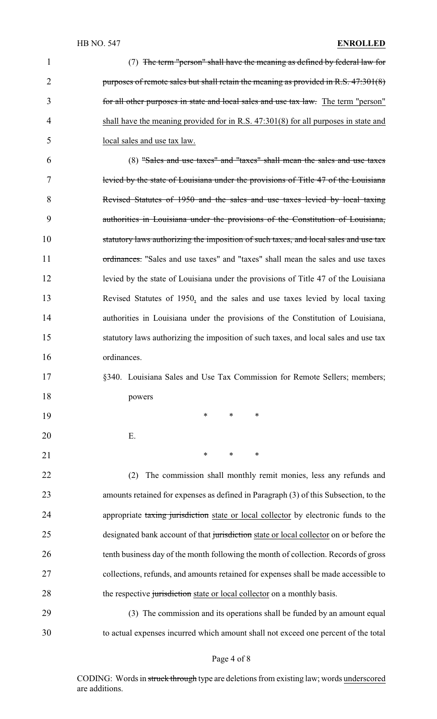#### HB NO. 547 **ENROLLED**

| $\mathbf{1}$ | (7) The term "person" shall have the meaning as defined by federal law for             |
|--------------|----------------------------------------------------------------------------------------|
| 2            | purposes of remote sales but shall retain the meaning as provided in R.S. 47:301(8)    |
| 3            | for all other purposes in state and local sales and use tax law. The term "person"     |
| 4            | shall have the meaning provided for in R.S. $47:301(8)$ for all purposes in state and  |
| 5            | local sales and use tax law.                                                           |
| 6            | (8) "Sales and use taxes" and "taxes" shall mean the sales and use taxes               |
| 7            | levied by the state of Louisiana under the provisions of Title 47 of the Louisiana     |
| 8            | Revised Statutes of 1950 and the sales and use taxes levied by local taxing            |
| 9            | authorities in Louisiana under the provisions of the Constitution of Louisiana,        |
| 10           | statutory laws authorizing the imposition of such taxes, and local sales and use tax   |
| 11           | ordinances. "Sales and use taxes" and "taxes" shall mean the sales and use taxes       |
| 12           | levied by the state of Louisiana under the provisions of Title 47 of the Louisiana     |
| 13           | Revised Statutes of 1950, and the sales and use taxes levied by local taxing           |
| 14           | authorities in Louisiana under the provisions of the Constitution of Louisiana,        |
| 15           | statutory laws authorizing the imposition of such taxes, and local sales and use tax   |
| 16           | ordinances.                                                                            |
| 17           | §340. Louisiana Sales and Use Tax Commission for Remote Sellers; members;              |
| 18           | powers                                                                                 |
| 19           | $\ast$<br>∗<br>∗                                                                       |
| 20           | Ε.                                                                                     |
| 21           | $\ast$<br>$\ast$<br>∗                                                                  |
| 22           | The commission shall monthly remit monies, less any refunds and<br>(2)                 |
| 23           | amounts retained for expenses as defined in Paragraph (3) of this Subsection, to the   |
| 24           | appropriate taxing jurisdiction state or local collector by electronic funds to the    |
| 25           | designated bank account of that jurisdiction state or local collector on or before the |
| 26           | tenth business day of the month following the month of collection. Records of gross    |
| 27           | collections, refunds, and amounts retained for expenses shall be made accessible to    |
| 28           | the respective jurisdiction state or local collector on a monthly basis.               |
| 29           | (3) The commission and its operations shall be funded by an amount equal               |
| 30           | to actual expenses incurred which amount shall not exceed one percent of the total     |

Page 4 of 8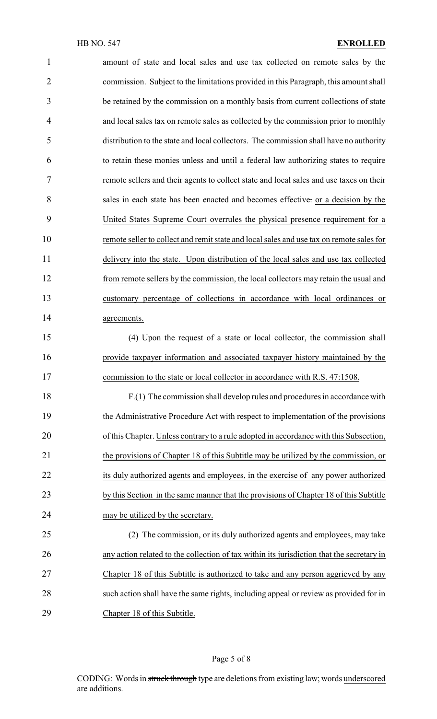| $\mathbf{1}$   | amount of state and local sales and use tax collected on remote sales by the              |
|----------------|-------------------------------------------------------------------------------------------|
| $\overline{2}$ | commission. Subject to the limitations provided in this Paragraph, this amount shall      |
| 3              | be retained by the commission on a monthly basis from current collections of state        |
| 4              | and local sales tax on remote sales as collected by the commission prior to monthly       |
| 5              | distribution to the state and local collectors. The commission shall have no authority    |
| 6              | to retain these monies unless and until a federal law authorizing states to require       |
| 7              | remote sellers and their agents to collect state and local sales and use taxes on their   |
| 8              | sales in each state has been enacted and becomes effective. or a decision by the          |
| 9              | United States Supreme Court overrules the physical presence requirement for a             |
| 10             | remote seller to collect and remit state and local sales and use tax on remote sales for  |
| 11             | delivery into the state. Upon distribution of the local sales and use tax collected       |
| 12             | from remote sellers by the commission, the local collectors may retain the usual and      |
| 13             | customary percentage of collections in accordance with local ordinances or                |
| 14             | agreements.                                                                               |
| 15             | (4) Upon the request of a state or local collector, the commission shall                  |
| 16             | provide taxpayer information and associated taxpayer history maintained by the            |
| 17             | commission to the state or local collector in accordance with R.S. 47:1508.               |
| 18             | $F(1)$ The commission shall develop rules and procedures in accordance with               |
| 19             | the Administrative Procedure Act with respect to implementation of the provisions         |
| 20             | of this Chapter. Unless contrary to a rule adopted in accordance with this Subsection,    |
| 21             | the provisions of Chapter 18 of this Subtitle may be utilized by the commission, or       |
| 22             | its duly authorized agents and employees, in the exercise of any power authorized         |
| 23             | by this Section in the same manner that the provisions of Chapter 18 of this Subtitle     |
| 24             | may be utilized by the secretary.                                                         |
| 25             | The commission, or its duly authorized agents and employees, may take                     |
| 26             | any action related to the collection of tax within its jurisdiction that the secretary in |
| 27             | Chapter 18 of this Subtitle is authorized to take and any person aggrieved by any         |
| 28             | such action shall have the same rights, including appeal or review as provided for in     |
| 29             | Chapter 18 of this Subtitle.                                                              |

# Page 5 of 8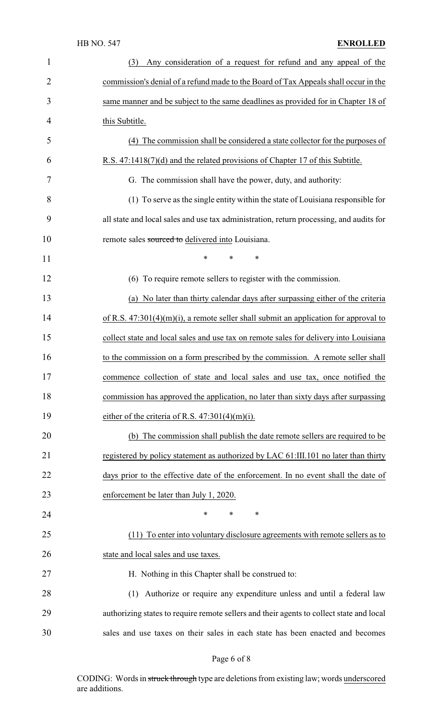|                | <b>HB NO. 547</b><br><b>ENROLLED</b>                                                     |
|----------------|------------------------------------------------------------------------------------------|
| 1              | Any consideration of a request for refund and any appeal of the<br>(3)                   |
| $\overline{2}$ | commission's denial of a refund made to the Board of Tax Appeals shall occur in the      |
| 3              | same manner and be subject to the same deadlines as provided for in Chapter 18 of        |
| 4              | this Subtitle.                                                                           |
| 5              | (4) The commission shall be considered a state collector for the purposes of             |
| 6              | R.S. 47:1418(7)(d) and the related provisions of Chapter 17 of this Subtitle.            |
| 7              | G. The commission shall have the power, duty, and authority:                             |
| 8              | (1) To serve as the single entity within the state of Louisiana responsible for          |
| 9              | all state and local sales and use tax administration, return processing, and audits for  |
| 10             | remote sales sourced to delivered into Louisiana.                                        |
| 11             | $\ast$<br>*<br>∗                                                                         |
| 12             | (6) To require remote sellers to register with the commission.                           |
| 13             | (a) No later than thirty calendar days after surpassing either of the criteria           |
| 14             | of R.S. $47:301(4)(m)(i)$ , a remote seller shall submit an application for approval to  |
| 15             | collect state and local sales and use tax on remote sales for delivery into Louisiana    |
| 16             | to the commission on a form prescribed by the commission. A remote seller shall          |
| 17             | commence collection of state and local sales and use tax, once notified the              |
| 18             | commission has approved the application, no later than sixty days after surpassing       |
| 19             | either of the criteria of R.S. $47:301(4)(m)(i)$ .                                       |
| 20             | (b) The commission shall publish the date remote sellers are required to be              |
| 21             | registered by policy statement as authorized by LAC 61:III.101 no later than thirty      |
| 22             | days prior to the effective date of the enforcement. In no event shall the date of       |
| 23             | enforcement be later than July 1, 2020.                                                  |
| 24             | $\ast$<br>$\ast$<br>$\ast$                                                               |
| 25             | (11) To enter into voluntary disclosure agreements with remote sellers as to             |
| 26             | state and local sales and use taxes.                                                     |
| 27             | H. Nothing in this Chapter shall be construed to:                                        |
| 28             | (1) Authorize or require any expenditure unless and until a federal law                  |
| 29             | authorizing states to require remote sellers and their agents to collect state and local |
| 30             | sales and use taxes on their sales in each state has been enacted and becomes            |

# Page 6 of 8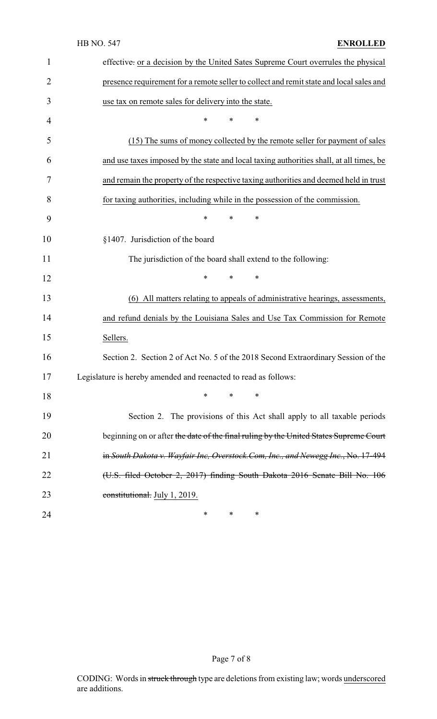|              | <b>HB NO. 547</b><br><b>ENROLLED</b>                                                    |
|--------------|-----------------------------------------------------------------------------------------|
| $\mathbf{1}$ | effective: or a decision by the United Sates Supreme Court overrules the physical       |
| 2            | presence requirement for a remote seller to collect and remit state and local sales and |
| 3            | use tax on remote sales for delivery into the state.                                    |
| 4            | *<br>*<br>∗                                                                             |
| 5            | (15) The sums of money collected by the remote seller for payment of sales              |
| 6            | and use taxes imposed by the state and local taxing authorities shall, at all times, be |
| 7            | and remain the property of the respective taxing authorities and deemed held in trust   |
| 8            | for taxing authorities, including while in the possession of the commission.            |
| 9            | $\ast$<br>*<br>∗                                                                        |
| 10           | §1407. Jurisdiction of the board                                                        |
| 11           | The jurisdiction of the board shall extend to the following:                            |
| 12           | ∗<br>$\ast$<br>∗                                                                        |
| 13           | (6) All matters relating to appeals of administrative hearings, assessments,            |
| 14           | and refund denials by the Louisiana Sales and Use Tax Commission for Remote             |
| 15           | Sellers.                                                                                |
| 16           | Section 2. Section 2 of Act No. 5 of the 2018 Second Extraordinary Session of the       |
| 17           | Legislature is hereby amended and reenacted to read as follows:                         |
| 18           | $\ast$<br>∗<br>∗                                                                        |
| 19           | Section 2. The provisions of this Act shall apply to all taxable periods                |
| 20           | beginning on or after the date of the final ruling by the United States Supreme Court   |
| 21           | in South Dakota v. Wayfair Inc, Overstock.Com, Inc., and Newegg Inc., No. 17-494        |
| 22           | (U.S. filed October 2, 2017) finding South Dakota 2016 Senate Bill No. 106              |
| 23           | constitutional. July 1, 2019.                                                           |
| 24           | $\ast$<br>∗<br>∗                                                                        |
|              |                                                                                         |

Page 7 of 8